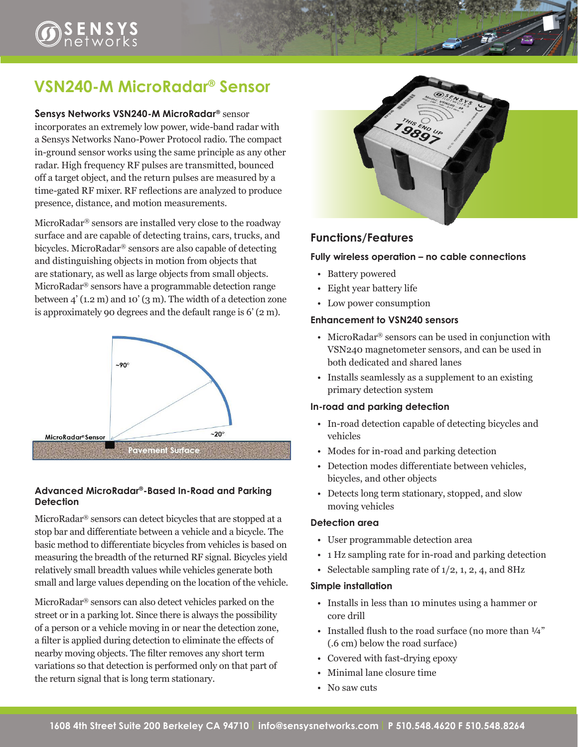# $\sum_{\mathcal{D}}$   $\sum_{\mathcal{D}}$   $\sum_{\mathcal{D}}$   $\sum_{\mathcal{D}}$   $\sum_{\mathcal{D}}$   $\sum_{\mathcal{D}}$

# **VSN240-M MicroRadar® Sensor**

#### **Sensys Networks VSN240-M MicroRadar®** sensor

incorporates an extremely low power, wide-band radar with a Sensys Networks Nano-Power Protocol radio. The compact in-ground sensor works using the same principle as any other radar. High frequency RF pulses are transmitted, bounced off a target object, and the return pulses are measured by a time-gated RF mixer. RF reflections are analyzed to produce presence, distance, and motion measurements.

MicroRadar® sensors are installed very close to the roadway surface and are capable of detecting trains, cars, trucks, and bicycles. MicroRadar® sensors are also capable of detecting and distinguishing objects in motion from objects that are stationary, as well as large objects from small objects. MicroRadar® sensors have a programmable detection range between 4' (1.2 m) and 10' (3 m). The width of a detection zone is approximately 90 degrees and the default range is 6' (2 m).



#### **Advanced MicroRadar®-Based In-Road and Parking Detection**

MicroRadar® sensors can detect bicycles that are stopped at a stop bar and differentiate between a vehicle and a bicycle. The basic method to differentiate bicycles from vehicles is based on measuring the breadth of the returned RF signal. Bicycles yield relatively small breadth values while vehicles generate both small and large values depending on the location of the vehicle.

MicroRadar® sensors can also detect vehicles parked on the street or in a parking lot. Since there is always the possibility of a person or a vehicle moving in or near the detection zone, a filter is applied during detection to eliminate the effects of nearby moving objects. The filter removes any short term variations so that detection is performed only on that part of the return signal that is long term stationary.



#### **Functions/Features**

#### **Fully wireless operation – no cable connections**

- Battery powered
- Eight year battery life
- Low power consumption

#### **Enhancement to VSN240 sensors**

- MicroRadar® sensors can be used in conjunction with VSN240 magnetometer sensors, and can be used in both dedicated and shared lanes
- Installs seamlessly as a supplement to an existing primary detection system

#### **In-road and parking detection**

- In-road detection capable of detecting bicycles and vehicles
- Modes for in-road and parking detection
- Detection modes differentiate between vehicles, bicycles, and other objects
- Detects long term stationary, stopped, and slow moving vehicles

#### **Detection area**

- User programmable detection area
- 1 Hz sampling rate for in-road and parking detection
- Selectable sampling rate of  $1/2$ , 1, 2, 4, and 8Hz

#### **Simple installation**

- Installs in less than 10 minutes using a hammer or core drill
- Installed flush to the road surface (no more than  $\frac{1}{4}$ " (.6 cm) below the road surface)
- Covered with fast-drying epoxy
- Minimal lane closure time
- No saw cuts